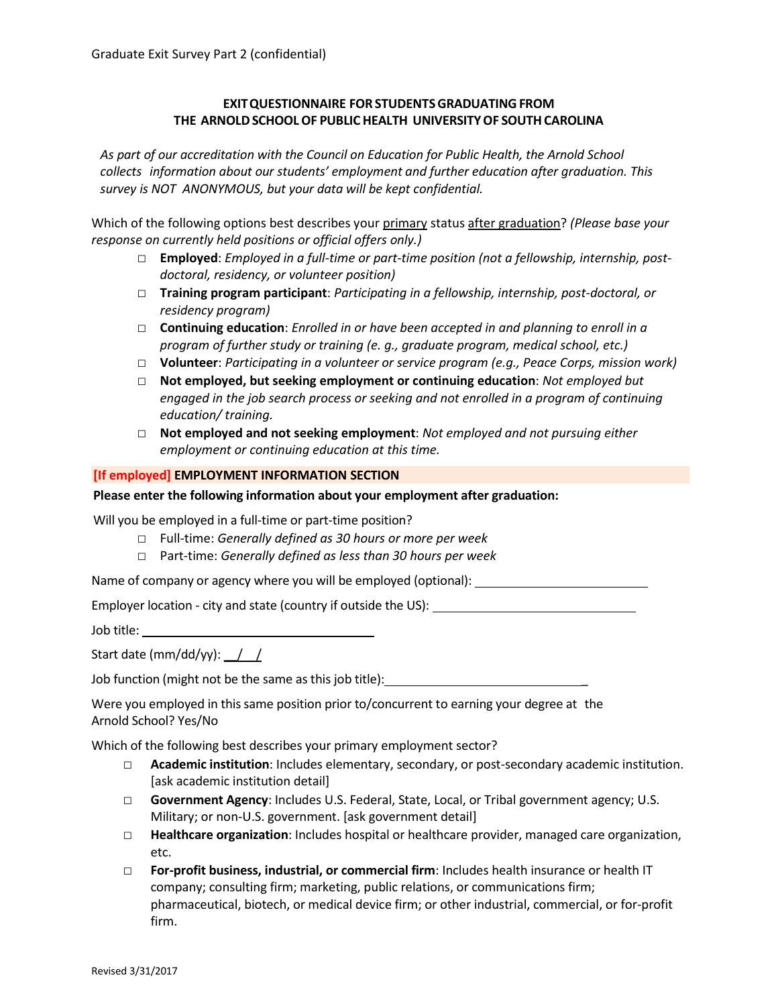# **EXITQUESTIONNAIRE FOR STUDENTSGRADUATING FROM THE ARNOLDSCHOOLOF PUBLIC HEALTH UNIVERSITYOF SOUTHCAROLINA**

*As part of our accreditation with the Council on Education for Public Health, the Arnold School collects information about our students' employment and further education after graduation. This survey is NOT ANONYMOUS, but your data will be kept confidential.*

Which of the following options best describes your primary status after graduation? *(Please base your response on currently held positions or official offers only.)*

- □ **Employed**: *Employed in a full-time or part-time position (not a fellowship, internship, postdoctoral, residency, or volunteer position)*
- □ **Training program participant**: *Participating in a fellowship, internship, post-doctoral, or residency program)*
- □ **Continuing education**: *Enrolled in or have been accepted in and planning to enroll in a program of further study or training (e. g., graduate program, medical school, etc.)*
- □ **Volunteer**: *Participating in a volunteer or service program (e.g., Peace Corps, mission work)*
- □ **Not employed, but seeking employment or continuing education**: *Not employed but engaged in the job search process or seeking and not enrolled in a program of continuing education/ training.*
- □ **Not employed and not seeking employment**: *Not employed and not pursuing either employment or continuing education at this time.*

## **[If employed] EMPLOYMENT INFORMATION SECTION**

## **Please enter the following information about your employment after graduation:**

Will you be employed in a full-time or part-time position?

- □ Full-time: *Generally defined as 30 hours or more per week*
- □ Part-time: *Generally defined as less than 30 hours per week*

Name of company or agency where you will be employed (optional): \_\_\_\_\_\_\_\_\_\_\_\_\_\_\_

Employer location - city and state (country if outside the US):

Job title:

Start date (mm/dd/yy):  $\frac{1}{2}$ 

Job function (might not be the same as this job title):

Were you employed in this same position prior to/concurrent to earning your degree at the Arnold School? Yes/No

Which of the following best describes your primary employment sector?

- □ **Academic institution**: Includes elementary, secondary, or post-secondary academic institution. [ask academic institution detail]
- □ **Government Agency**: Includes U.S. Federal, State, Local, or Tribal government agency; U.S. Military; or non-U.S. government. [ask government detail]
- □ **Healthcare organization**: Includes hospital or healthcare provider, managed care organization, etc.
- □ **For-profit business, industrial, or commercial firm**: Includes health insurance or health IT company; consulting firm; marketing, public relations, or communications firm; pharmaceutical, biotech, or medical device firm; or other industrial, commercial, or for-profit firm.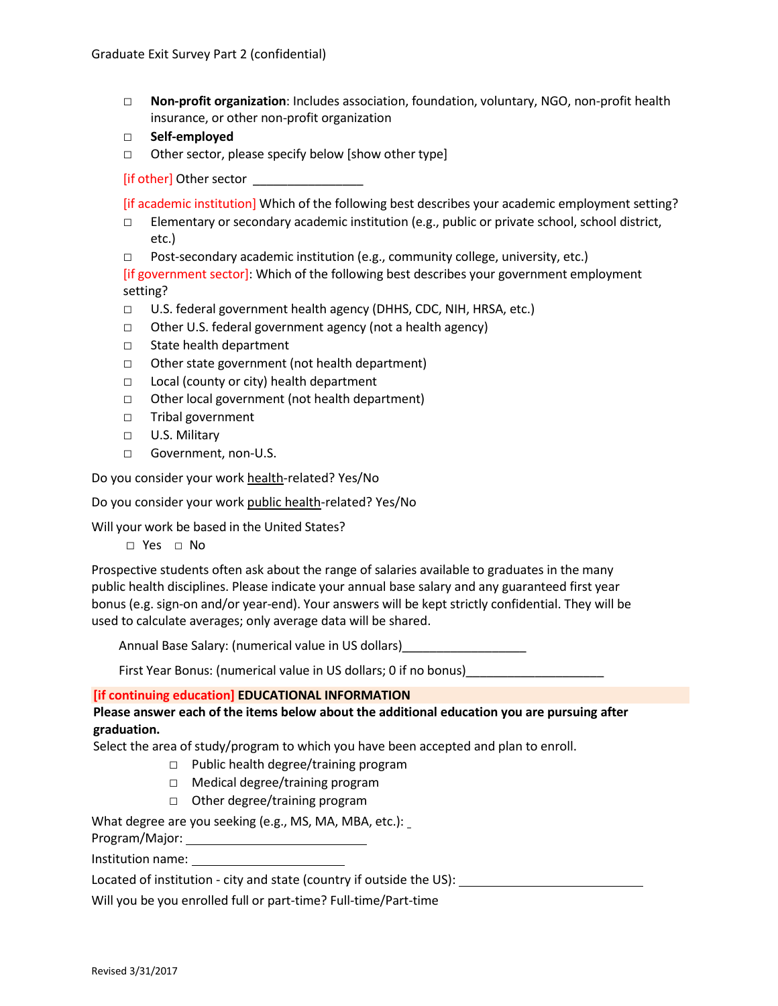- □ **Non-profit organization**: Includes association, foundation, voluntary, NGO, non-profit health insurance, or other non-profit organization
- □ **Self-employed**
- □ Other sector, please specify below [show other type]

[if other] Other sector

[if academic institution] Which of the following best describes your academic employment setting?

- $\square$  Elementary or secondary academic institution (e.g., public or private school, school district, etc.)
- □ Post-secondary academic institution (e.g., community college, university, etc.)

[if government sector]: Which of the following best describes your government employment setting?

- □ U.S. federal government health agency (DHHS, CDC, NIH, HRSA, etc.)
- □ Other U.S. federal government agency (not a health agency)
- □ State health department
- □ Other state government (not health department)
- □ Local (county or city) health department
- □ Other local government (not health department)
- □ Tribal government
- □ U.S. Military
- □ Government, non-U.S.

Do you consider your work health-related? Yes/No

Do you consider your work public health-related? Yes/No

Will your work be based in the United States?

□ Yes □ No

Prospective students often ask about the range of salaries available to graduates in the many public health disciplines. Please indicate your annual base salary and any guaranteed first year bonus (e.g. sign-on and/or year-end). Your answers will be kept strictly confidential. They will be used to calculate averages; only average data will be shared.

Annual Base Salary: (numerical value in US dollars)\_\_\_\_\_\_\_\_\_\_\_\_\_\_\_\_\_\_

First Year Bonus: (numerical value in US dollars; 0 if no bonus)

## **[if continuing education] EDUCATIONAL INFORMATION**

**Please answer each of the items below about the additional education you are pursuing after graduation.**

Select the area of study/program to which you have been accepted and plan to enroll.

- □ Public health degree/training program
- □ Medical degree/training program
- □ Other degree/training program

What degree are you seeking (e.g., MS, MA, MBA, etc.):

Program/Major: 2008

Institution name: \_\_\_\_

Located of institution - city and state (country if outside the US):

Will you be you enrolled full or part-time? Full-time/Part-time